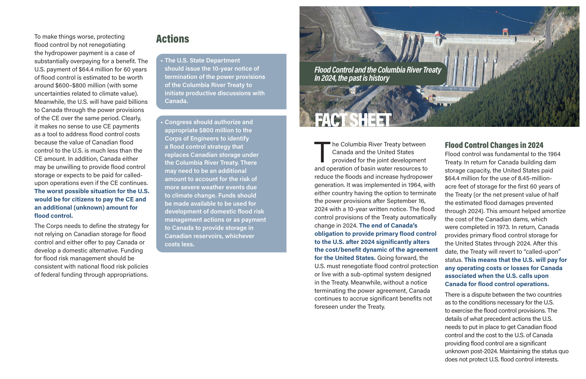Flood Control and the Columbia River Treaty In 2024, the past is history

FACT SHEET

#### he Columbia River Treaty between Canada and the United States provided for the joint development and operation of basin water resources to reduce the floods and increase hydropower generation. It was implemented in 1964, with either country having the option to terminate the power provisions after September 16, 2024 with a 10-year written notice. The flood control provisions of the Treaty automatically change in 2024. The end of Canada's obligation to provide primary flood control to the U.S. after 2024 significantly alters the cost/benefit dynamic of the agreement for the United States. Going forward, the U.S. must renegotiate flood control protection or live with a sub-optimal system designed in the Treaty. Meanwhile, without a notice terminating the power agreement, Canada continues to accrue significant benefits not foreseen under the Treaty.

### Flood Control Changes in 2024

Flood control was fundamental to the 1964 Treaty. In return for Canada building dam storage capacity, the United States paid \$64.4 million for the use of 8.45-millionacre feet of storage for the first 60 years of the Treaty (or the net present value of half the estimated flood damages prevented through 2024). This amount helped amortize the cost of the Canadian dams, which were completed in 1973. In return, Canada provides primary flood control storage for the United States through 2024. After this date, the Treaty will revert to "called-upon" status. This means that the U.S. will pay for any operating costs or losses for Canada associated when the U.S. calls upon Canada for flood control operations.

There is a dispute between the two countries as to the conditions necessary for the U.S. to exercise the flood control provisions. The details of what precedent actions the U.S. needs to put in place to get Canadian flood control and the cost to the U.S. of Canada providing flood control are a significant unknown post-2024. Maintaining the status quo does not protect U.S. flood control interests.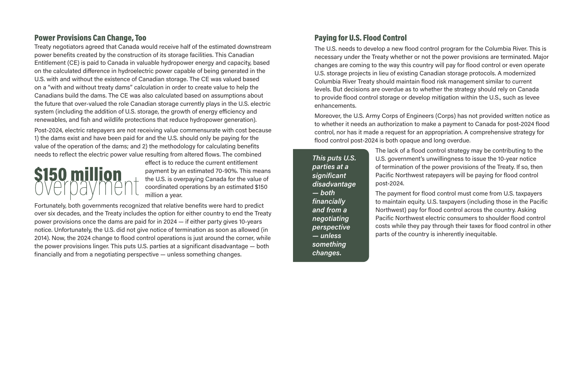### Power Provisions Can Change, Too

Treaty negotiators agreed that Canada would receive half of the estimated downstream power benefits created by the construction of its storage facilities. This Canadian Entitlement (CE) is paid to Canada in valuable hydropower energy and capacity, based on the calculated difference in hydroelectric power capable of being generated in the U.S. with and without the existence of Canadian storage. The CE was valued based on a "with and without treaty dams" calculation in order to create value to help the Canadians build the dams. The CE was also calculated based on assumptions about the future that over-valued the role Canadian storage currently plays in the U.S. electric system (including the addition of U.S. storage, the growth of energy efficiency and renewables, and fish and wildlife protections that reduce hydropower generation).

Post-2024, electric ratepayers are not receiving value commensurate with cost because 1) the dams exist and have been paid for and the U.S. should only be paying for the value of the operation of the dams; and 2) the methodology for calculating benefits needs to reflect the electric power value resulting from altered flows. The combined

# **S150 million**

effect is to reduce the current entitlement payment by an estimated 70-90%. This means the U.S. is overpaying Canada for the value of coordinated operations by an estimated \$150 million a year.

Fortunately, both governments recognized that relative benefits were hard to predict over six decades, and the Treaty includes the option for either country to end the Treaty power provisions once the dams are paid for in 2024 — if either party gives 10-years notice. Unfortunately, the U.S. did not give notice of termination as soon as allowed (in 2014). Now, the 2024 change to flood control operations is just around the corner, while the power provisions linger. This puts U.S. parties at a significant disadvantage — both financially and from a negotiating perspective — unless something changes.

## Paying for U.S. Flood Control

The U.S. needs to develop a new flood control program for the Columbia River. This is necessary under the Treaty whether or not the power provisions are terminated. Major changes are coming to the way this country will pay for flood control or even operate U.S. storage projects in lieu of existing Canadian storage protocols. A modernized Columbia River Treaty should maintain flood risk management similar to current levels. But decisions are overdue as to whether the strategy should rely on Canada to provide flood control storage or develop mitigation within the U.S., such as levee enhancements.

Moreover, the U.S. Army Corps of Engineers (Corps) has not provided written notice as to whether it needs an authorization to make a payment to Canada for post-2024 flood control, nor has it made a request for an appropriation. A comprehensive strategy for flood control post-2024 is both opaque and long overdue.

> The lack of a flood control strategy may be contributing to the U.S. government's unwillingness to issue the 10-year notice of termination of the power provisions of the Treaty. If so, then Pacific Northwest ratepayers will be paying for flood control post-2024.

The payment for flood control must come from U.S. taxpayers to maintain equity. U.S. taxpayers (including those in the Pacific Northwest) pay for flood control across the country. Asking Pacific Northwest electric consumers to shoulder flood control costs while they pay through their taxes for flood control in other parts of the country is inherently inequitable.

This puts U.S. parties at a significant disadvantage — both financially and from a negotiating perspective — unless something changes.